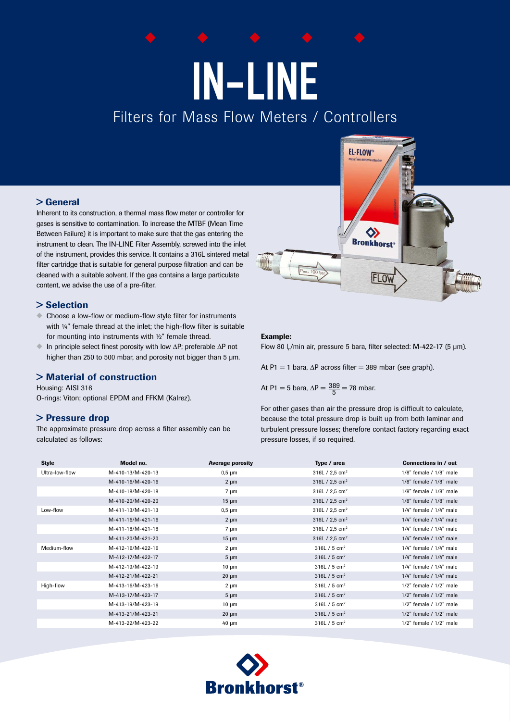# IN-LINE Filters for Mass Flow Meters / Controllers

## > General

Inherent to its construction, a thermal mass flow meter or controller for gases is sensitive to contamination. To increase the MTBF (Mean Time Between Failure) it is important to make sure that the gas entering the instrument to clean. The IN-LINE Filter Assembly, screwed into the inlet of the instrument, provides this service. It contains a 316L sintered metal filter cartridge that is suitable for general purpose filtration and can be cleaned with a suitable solvent. If the gas contains a large particulate content, we advise the use of a pre-filter.

## > Selection

- Choose a low-flow or medium-flow style filter for instruments with  $\frac{1}{4}$ " female thread at the inlet; the high-flow filter is suitable for mounting into instruments with ½" female thread.
- $\blacksquare$  In principle select finest porosity with low ∆P; preferable ∆P not higher than 250 to 500 mbar, and porosity not bigger than 5  $\mu$ m.

## > Material of construction

Housing: AISI 316 O-rings: Viton; optional EPDM and FFKM (Kalrez).

## > Pressure drop

The approximate pressure drop across a filter assembly can be calculated as follows:



#### Example:

Flow 80  $I_n/m$ in air, pressure 5 bara, filter selected: M-422-17 (5  $\mu$ m).

At P1 = 1 bara,  $\Delta P$  across filter = 389 mbar (see graph).

At P1 = 5 bara, 
$$
\Delta P = \frac{389}{5} = 78
$$
 mbar.

For other gases than air the pressure drop is difficult to calculate, because the total pressure drop is built up from both laminar and turbulent pressure losses; therefore contact factory regarding exact pressure losses, if so required.

| <b>Style</b>   | Model no.         | <b>Average porosity</b> | Type / area                  | Connections in / out          |
|----------------|-------------------|-------------------------|------------------------------|-------------------------------|
| Ultra-low-flow | M-410-13/M-420-13 | $0,5 \mu m$             | 316L $/$ 2,5 cm <sup>2</sup> | $1/8$ " female / $1/8$ " male |
|                | M-410-16/M-420-16 | $2 \mu m$               | 316L $/$ 2,5 cm <sup>2</sup> | $1/8$ " female / $1/8$ " male |
|                | M-410-18/M-420-18 | $7 \mu m$               | 316L $/$ 2,5 cm <sup>2</sup> | $1/8$ " female / $1/8$ " male |
|                | M-410-20/M-420-20 | $15 \mu m$              | 316L $/$ 2,5 cm <sup>2</sup> | 1/8" female / 1/8" male       |
| Low-flow       | M-411-13/M-421-13 | $0,5 \mu m$             | 316L $/$ 2,5 cm <sup>2</sup> | $1/4$ " female / $1/4$ " male |
|                | M-411-16/M-421-16 | $2 \mu m$               | 316L $/$ 2,5 cm <sup>2</sup> | $1/4$ " female / $1/4$ " male |
|                | M-411-18/M-421-18 | $7 \mu m$               | 316L $/$ 2,5 cm <sup>2</sup> | $1/4$ " female / $1/4$ " male |
|                | M-411-20/M-421-20 | $15 \mu m$              | 316L $/$ 2,5 cm <sup>2</sup> | $1/4$ " female / $1/4$ " male |
| Medium-flow    | M-412-16/M-422-16 | $2 \mu m$               | 316L / 5 $cm2$               | $1/4$ " female / $1/4$ " male |
|                | M-412-17/M-422-17 | $5 \mu m$               | 316L / $5 \text{ cm}^2$      | $1/4$ " female / $1/4$ " male |
|                | M-412-19/M-422-19 | $10 \mu m$              | 316L / $5 \text{ cm}^2$      | $1/4$ " female / $1/4$ " male |
|                | M-412-21/M-422-21 | $20 \mu m$              | 316L / $5 \text{ cm}^2$      | $1/4$ " female / $1/4$ " male |
| High-flow      | M-413-16/M-423-16 | $2 \mu m$               | 316L / 5 $cm2$               | $1/2$ " female / $1/2$ " male |
|                | M-413-17/M-423-17 | $5 \mu m$               | 316L / $5 \text{ cm}^2$      | $1/2$ " female / $1/2$ " male |
|                | M-413-19/M-423-19 | $10 \mu m$              | 316L / $5 \text{ cm}^2$      | $1/2$ " female / $1/2$ " male |
|                | M-413-21/M-423-21 | $20 \mu m$              | 316L / $5 \text{ cm}^2$      | $1/2$ " female / $1/2$ " male |
|                | M-413-22/M-423-22 | $40 \mu m$              | 316L / 5 $cm2$               | $1/2$ " female / $1/2$ " male |